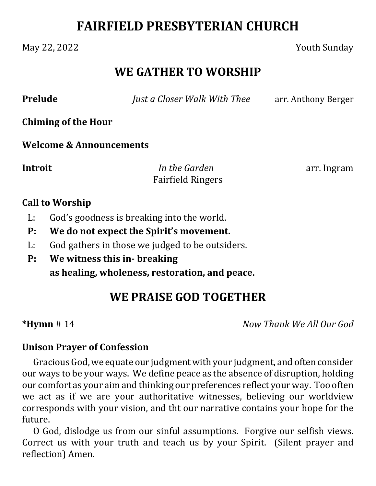# **FAIRFIELD PRESBYTERIAN CHURCH**

### May 22, 2022 Youth Sunday

### **WE GATHER TO WORSHIP**

**Prelude** *Just a Closer Walk With Thee* arr. Anthony Berger

**Chiming of the Hour**

**Welcome & Announcements**

**Introit** *<i>In the Garden* arr. Ingram Fairfield Ringers

#### **Call to Worship**

- L: God's goodness is breaking into the world.
- **P: We do not expect the Spirit's movement.**
- L: God gathers in those we judged to be outsiders.
- **P: We witness this in‐ breaking as healing, wholeness, restoration, and peace.**

## **WE PRAISE GOD TOGETHER**

**\*Hymn** # 14 *Now Thank We All Our God*

#### **Unison Prayer of Confession**

Gracious God, we equate our judgment with your judgment, and often consider our ways to be your ways. We define peace as the absence of disruption, holding our comfort as your aim and thinking our preferences reflect your way. Too often we act as if we are your authoritative witnesses, believing our worldview corresponds with your vision, and tht our narrative contains your hope for the future.

O God, dislodge us from our sinful assumptions. Forgive our selfish views. Correct us with your truth and teach us by your Spirit. (Silent prayer and reflection) Amen.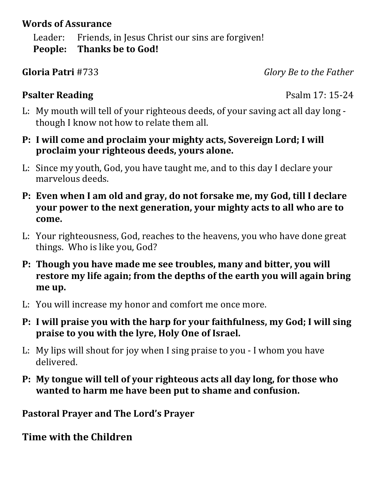### **Words of Assurance**

Leader: Friends, in Jesus Christ our sins are forgiven! **People: Thanks be to God!**

**Gloria Patri** #733 *Glory Be to the Father*

### **Psalter Reading** Psalm 17: 15-24

- L: My mouth will tell of your righteous deeds, of your saving act all day long though I know not how to relate them all.
- **P: I will come and proclaim your mighty acts, Sovereign Lord; I will proclaim your righteous deeds, yours alone.**
- L: Since my youth, God, you have taught me, and to this day I declare your marvelous deeds.
- **P: Even when I am old and gray, do not forsake me, my God, till I declare your power to the next generation, your mighty acts to all who are to come.**
- L: Your righteousness, God, reaches to the heavens, you who have done great things. Who is like you, God?
- **P: Though you have made me see troubles, many and bitter, you will restore my life again; from the depths of the earth you will again bring me up.**
- L: You will increase my honor and comfort me once more.
- **P: I will praise you with the harp for your faithfulness, my God; I will sing praise to you with the lyre, Holy One of Israel.**
- L: My lips will shout for joy when I sing praise to you I whom you have delivered.
- **P: My tongue will tell of your righteous acts all day long, for those who wanted to harm me have been put to shame and confusion.**

**Pastoral Prayer and The Lord's Prayer**

**Time with the Children**